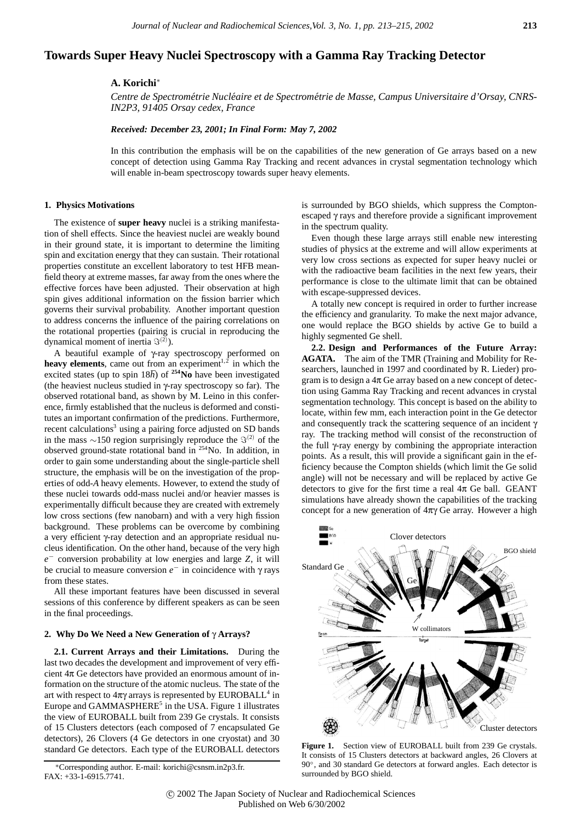# **Towards Super Heavy Nuclei Spectroscopy with a Gamma Ray Tracking Detector**

# **A. Korichi**<sup>∗</sup>

*Centre de Spectrometrie Nucl ´ eaire et de Spectrom ´ etrie de Masse, Campus Universitaire d'Orsay, CNRS- ´ IN2P3, 91405 Orsay cedex, France*

### *Received: December 23, 2001; In Final Form: May 7, 2002*

In this contribution the emphasis will be on the capabilities of the new generation of Ge arrays based on a new concept of detection using Gamma Ray Tracking and recent advances in crystal segmentation technology which will enable in-beam spectroscopy towards super heavy elements.

#### **1. Physics Motivations**

The existence of **super heavy** nuclei is a striking manifestation of shell effects. Since the heaviest nuclei are weakly bound in their ground state, it is important to determine the limiting spin and excitation energy that they can sustain. Their rotational properties constitute an excellent laboratory to test HFB meanfield theory at extreme masses, far away from the ones where the effective forces have been adjusted. Their observation at high spin gives additional information on the fission barrier which governs their survival probability. Another important question to address concerns the influence of the pairing correlations on the rotational properties (pairing is crucial in reproducing the dynamical moment of inertia  $\Im^{(2)}$ ).

A beautiful example of γ-ray spectroscopy performed on **heavy elements**, came out from an experiment<sup> $1,2$ </sup> in which the excited states (up to spin  $18\hbar$ ) of  $254$ No have been investigated (the heaviest nucleus studied in γ-ray spectroscopy so far). The observed rotational band, as shown by M. Leino in this conference, firmly established that the nucleus is deformed and constitutes an important confirmation of the predictions. Furthermore, recent calculations<sup>3</sup> using a pairing force adjusted on SD bands in the mass  $\sim$ 150 region surprisingly reproduce the  $\Im^{(2)}$  of the observed ground-state rotational band in 254No. In addition, in order to gain some understanding about the single-particle shell structure, the emphasis will be on the investigation of the properties of odd-*A* heavy elements. However, to extend the study of these nuclei towards odd-mass nuclei and/or heavier masses is experimentally difficult because they are created with extremely low cross sections (few nanobarn) and with a very high fission background. These problems can be overcome by combining a very efficient γ-ray detection and an appropriate residual nucleus identification. On the other hand, because of the very high *e<sup>−</sup>* conversion probability at low energies and large *Z*, it will be crucial to measure conversion *e<sup>−</sup>* in coincidence with γ rays from these states.

All these important features have been discussed in several sessions of this conference by different speakers as can be seen in the final proceedings.

# **2. Why Do We Need a New Generation of** γ **Arrays?**

**2.1. Current Arrays and their Limitations.** During the last two decades the development and improvement of very efficient  $4\pi$  Ge detectors have provided an enormous amount of information on the structure of the atomic nucleus. The state of the art with respect to  $4\pi\gamma$  arrays is represented by EUROBALL<sup>4</sup> in Europe and GAMMASPHERE<sup>5</sup> in the USA. Figure 1 illustrates the view of EUROBALL built from 239 Ge crystals. It consists of 15 Clusters detectors (each composed of 7 encapsulated Ge detectors), 26 Clovers (4 Ge detectors in one cryostat) and 30 standard Ge detectors. Each type of the EUROBALL detectors is surrounded by BGO shields, which suppress the Comptonescaped γ rays and therefore provide a significant improvement in the spectrum quality.

Even though these large arrays still enable new interesting studies of physics at the extreme and will allow experiments at very low cross sections as expected for super heavy nuclei or with the radioactive beam facilities in the next few years, their performance is close to the ultimate limit that can be obtained with escape-suppressed devices.

A totally new concept is required in order to further increase the efficiency and granularity. To make the next major advance, one would replace the BGO shields by active Ge to build a highly segmented Ge shell.

**2.2. Design and Performances of the Future Array: AGATA.** The aim of the TMR (Training and Mobility for Researchers, launched in 1997 and coordinated by R. Lieder) program is to design a  $4\pi$  Ge array based on a new concept of detection using Gamma Ray Tracking and recent advances in crystal segmentation technology. This concept is based on the ability to locate, within few mm, each interaction point in the Ge detector and consequently track the scattering sequence of an incident  $\gamma$ ray. The tracking method will consist of the reconstruction of the full γ-ray energy by combining the appropriate interaction points. As a result, this will provide a significant gain in the efficiency because the Compton shields (which limit the Ge solid angle) will not be necessary and will be replaced by active Ge detectors to give for the first time a real  $4\pi$  Ge ball. GEANT simulations have already shown the capabilities of the tracking concept for a new generation of  $4\pi\gamma$  Ge array. However a high



Figure 1. Section view of EUROBALL built from 239 Ge crystals. It consists of 15 Clusters detectors at backward angles, 26 Clovers at 90°, and 30 standard Ge detectors at forward angles. Each detector is surrounded by BGO shield.

<sup>∗</sup>Corresponding author. E-mail: korichi@csnsm.in2p3.fr. FAX: +33-1-6915.7741.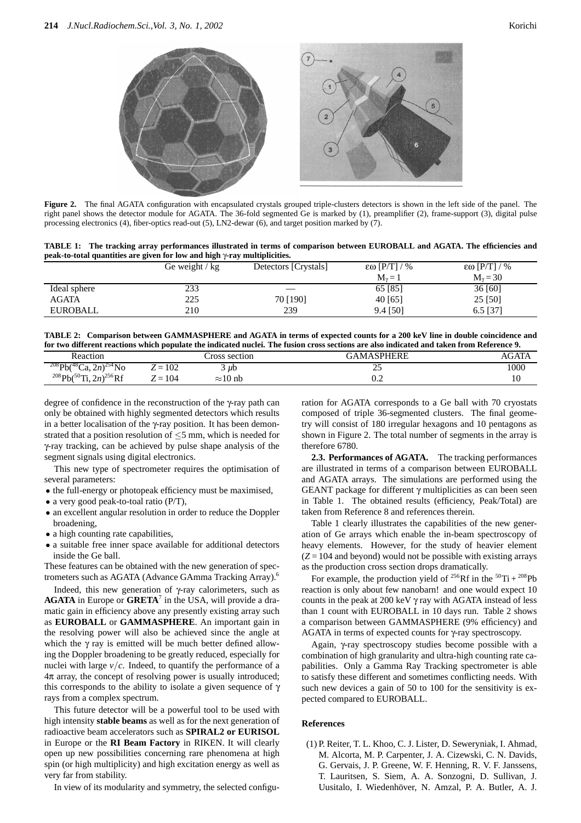

**Figure 2.** The final AGATA configuration with encapsulated crystals grouped triple-clusters detectors is shown in the left side of the panel. The right panel shows the detector module for AGATA. The 36-fold segmented Ge is marked by (1), preamplifier (2), frame-support (3), digital pulse processing electronics (4), fiber-optics read-out (5), LN2-dewar (6), and target position marked by (7).

**TABLE 1: The tracking array performances illustrated in terms of comparison between EUROBALL and AGATA. The efficiencies and peak-to-total quantities are given for low and high** γ**-ray multiplicities.**

|                 | Ge weight $/\text{kg}$ | Detectors [Crystals] | $\epsilon\omega$ [P/T] / % | $\epsilon\omega$ [P/T] / % |
|-----------------|------------------------|----------------------|----------------------------|----------------------------|
|                 |                        |                      | $M_v = 1$                  | $M_v = 30$                 |
| Ideal sphere    | 233                    |                      | 65 [85]                    | 36 [60]                    |
| <b>AGATA</b>    | 225                    | 70 [190]             | 40 [65]                    | 25 [50]                    |
| <b>EUROBALL</b> | 210                    | 239                  | $9.4$ [50]                 | $6.5$ [37]                 |

**TABLE 2: Comparison between GAMMASPHERE and AGATA in terms of expected counts for a 200 keV line in double coincidence and for two different reactions which populate the indicated nuclei. The fusion cross sections are also indicated and taken from Reference 9.**

| Reaction                                            |                                                       | ross section    | GAMASPHERE                   | AGATA |
|-----------------------------------------------------|-------------------------------------------------------|-----------------|------------------------------|-------|
| $208Pb(^{48}Ca, 2n)^{254}No$                        | 102<br>$\overline{\phantom{0}}$<br>$\overline{L}$ $-$ | $\mu$ b         | ~<br>سە                      | 1000  |
| Ti, $2n)^{256}$ Rf<br>$^{208}Pb($<br>$\sqrt{50}$ Ti | 104<br>$\overline{\phantom{0}}$<br>. —                | $\approx$ 10 nb | $\mathsf{U}.\mathsf{\Delta}$ | 10    |

degree of confidence in the reconstruction of the γ-ray path can only be obtained with highly segmented detectors which results in a better localisation of the γ-ray position. It has been demonstrated that a position resolution of  $\leq$ 5 mm, which is needed for γ-ray tracking, can be achieved by pulse shape analysis of the segment signals using digital electronics.

This new type of spectrometer requires the optimisation of several parameters:

- the full-energy or photopeak efficiency must be maximised,
- a very good peak-to-toal ratio (P/T),
- an excellent angular resolution in order to reduce the Doppler broadening,
- a high counting rate capabilities,
- a suitable free inner space available for additional detectors inside the Ge ball.

These features can be obtained with the new generation of spectrometers such as AGATA (Advance GAmma Tracking Array).6

Indeed, this new generation of γ-ray calorimeters, such as **AGATA** in Europe or **GRETA**<sup>7</sup> in the USA, will provide a dramatic gain in efficiency above any presently existing array such as **EUROBALL** or **GAMMASPHERE**. An important gain in the resolving power will also be achieved since the angle at which the  $\gamma$  ray is emitted will be much better defined allowing the Doppler broadening to be greatly reduced, especially for nuclei with large  $v/c$ . Indeed, to quantify the performance of a  $4\pi$  array, the concept of resolving power is usually introduced; this corresponds to the ability to isolate a given sequence of  $\gamma$ rays from a complex spectrum.

This future detector will be a powerful tool to be used with high intensity **stable beams** as well as for the next generation of radioactive beam accelerators such as **SPIRAL2 or EURISOL** in Europe or the **RI Beam Factory** in RIKEN. It will clearly open up new possibilities concerning rare phenomena at high spin (or high multiplicity) and high excitation energy as well as very far from stability.

In view of its modularity and symmetry, the selected configu-

ration for AGATA corresponds to a Ge ball with 70 cryostats composed of triple 36-segmented clusters. The final geometry will consist of 180 irregular hexagons and 10 pentagons as shown in Figure 2. The total number of segments in the array is therefore 6780.

**2.3. Performances of AGATA.** The tracking performances are illustrated in terms of a comparison between EUROBALL and AGATA arrays. The simulations are performed using the GEANT package for different  $\gamma$  multiplicities as can been seen in Table 1. The obtained results (efficiency, Peak/Total) are taken from Reference 8 and references therein.

Table 1 clearly illustrates the capabilities of the new generation of Ge arrays which enable the in-beam spectroscopy of heavy elements. However, for the study of heavier element  $(Z = 104$  and beyond) would not be possible with existing arrays as the production cross section drops dramatically.

For example, the production yield of  $^{256}$ Rf in the  $^{50}$ Ti +  $^{208}$ Pb reaction is only about few nanobarn! and one would expect 10 counts in the peak at 200 keV  $\gamma$  ray with AGATA instead of less than 1 count with EUROBALL in 10 days run. Table 2 shows a comparison between GAMMASPHERE (9% efficiency) and AGATA in terms of expected counts for γ-ray spectroscopy.

Again, γ-ray spectroscopy studies become possible with a combination of high granularity and ultra-high counting rate capabilities. Only a Gamma Ray Tracking spectrometer is able to satisfy these different and sometimes conflicting needs. With such new devices a gain of 50 to 100 for the sensitivity is expected compared to EUROBALL.

## **References**

(1) P. Reiter, T. L. Khoo, C. J. Lister, D. Seweryniak, I. Ahmad, M. Alcorta, M. P. Carpenter, J. A. Cizewski, C. N. Davids, G. Gervais, J. P. Greene, W. F. Henning, R. V. F. Janssens, T. Lauritsen, S. Siem, A. A. Sonzogni, D. Sullivan, J. Uusitalo, I. Wiedenhöver, N. Amzal, P. A. Butler, A. J.